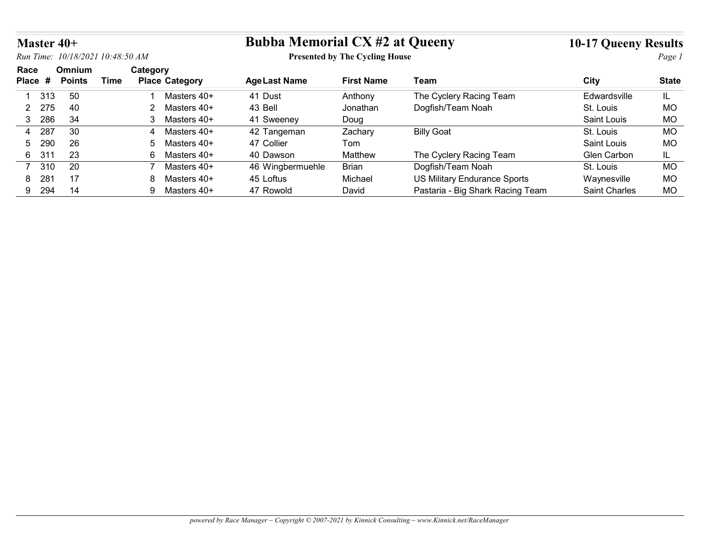| Master 40+            |                                        |                                   | <b>Bubba Memorial CX #2 at Queeny</b> |                                       |                                                                  | <b>10-17 Queeny Results</b>  |              |
|-----------------------|----------------------------------------|-----------------------------------|---------------------------------------|---------------------------------------|------------------------------------------------------------------|------------------------------|--------------|
|                       | Run Time: 10/18/2021 10:48:50 AM       |                                   |                                       | <b>Presented by The Cycling House</b> |                                                                  |                              | Page 1       |
| Race<br>Place #       | Omnium<br><b>Points</b><br><b>Time</b> | Category<br><b>Place Category</b> | <b>AgeLast Name</b>                   | <b>First Name</b>                     | Team                                                             | City                         | <b>State</b> |
| 1 313                 | 50                                     | Masters 40+                       | 41 Dust                               | Anthony                               | The Cyclery Racing Team                                          | Edwardsville                 | IL.          |
| 275<br>$\overline{2}$ | 40                                     | 2 Masters 40+                     | 43 Bell                               | Jonathan                              | Dogfish/Team Noah                                                | St. Louis                    | <b>MO</b>    |
| 286<br>3 <sup>1</sup> | 34                                     | 3 Masters 40+                     | 41 Sweeney                            | Doug                                  |                                                                  | Saint Louis                  | <b>MO</b>    |
|                       | 30                                     | Masters 40+<br>4                  | 42 Tangeman                           | Zachary                               | <b>Billy Goat</b>                                                | St. Louis                    | <b>MO</b>    |
| 287<br>4              |                                        |                                   | 47 Collier                            | Tom                                   |                                                                  | Saint Louis                  | <b>MO</b>    |
| 290<br>5              | 26                                     | Masters 40+<br>5                  |                                       |                                       |                                                                  |                              |              |
| 31'<br>6              | 23                                     | 6 Masters 40+                     | 40 Dawson                             | Matthew                               | The Cyclery Racing Team                                          | Glen Carbon                  | IL.          |
| 310<br>$\overline{7}$ | 20                                     | $\overline{7}$<br>Masters 40+     | 46 Wingbermuehle                      | Brian                                 | Dogfish/Team Noah                                                | St. Louis                    | <b>MO</b>    |
| 281<br>8<br>9 294     | 17<br>14                               | 8 Masters 40+<br>9 Masters 40+    | 45 Loftus<br>47 Rowold                | Michael<br>David                      | US Military Endurance Sports<br>Pastaria - Big Shark Racing Team | Waynesville<br>Saint Charles | MO<br>MO     |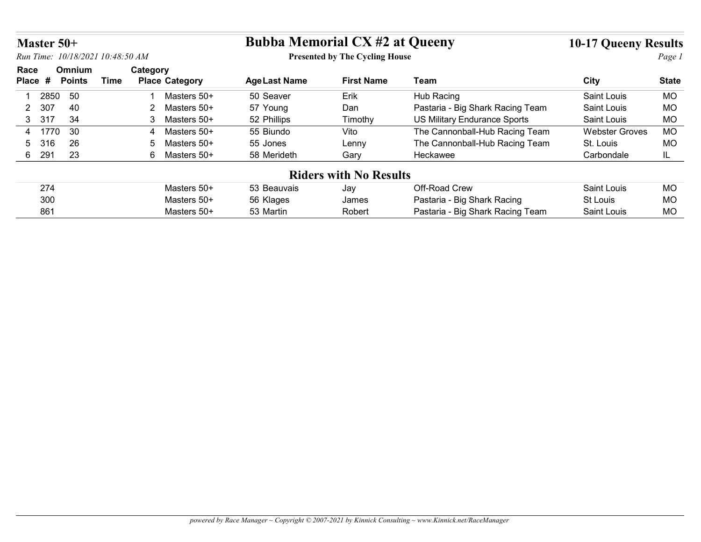|                 |                                        |                                   | <b>Bubba Memorial CX #2 at Queeny</b> |                                       |                                              |                             |                        |
|-----------------|----------------------------------------|-----------------------------------|---------------------------------------|---------------------------------------|----------------------------------------------|-----------------------------|------------------------|
| Master $50+$    |                                        |                                   |                                       |                                       |                                              | <b>10-17 Queeny Results</b> |                        |
|                 | Run Time: 10/18/2021 10:48:50 AM       |                                   |                                       | <b>Presented by The Cycling House</b> |                                              |                             | Page 1                 |
| Race<br>Place # | Omnium<br><b>Points</b><br><b>Time</b> | Category<br><b>Place Category</b> | <b>AgeLast Name</b>                   | <b>First Name</b>                     | Team                                         | City                        | <b>State</b>           |
| 2850            | 50                                     | Masters 50+                       | 50 Seaver                             | Erik                                  | Hub Racing                                   | Saint Louis                 | <b>MO</b>              |
| 2 307           | 40                                     | 2<br>Masters 50+                  | 57 Young                              | Dan                                   | Pastaria - Big Shark Racing Team             | Saint Louis                 | <b>MO</b>              |
|                 | 34                                     | 3<br>Masters 50+                  | 52 Phillips                           | Timothy                               | <b>US Military Endurance Sports</b>          | Saint Louis                 | <b>MO</b>              |
| 3 317           |                                        | Masters 50+<br>4                  | 55 Biundo                             | Vito                                  | The Cannonball-Hub Racing Team               | <b>Webster Groves</b>       | <b>MO</b>              |
| 4 1770          | 30                                     |                                   |                                       | Lenny                                 | The Cannonball-Hub Racing Team               | St. Louis                   | <b>MO</b>              |
| 316             | 26                                     | Masters 50+<br>$5^{\circ}$        | 55 Jones                              |                                       |                                              |                             |                        |
| 6 291           | 23                                     | 6 Masters 50+                     | 58 Merideth                           | Gary                                  | Heckawee                                     | Carbondale                  | IL.                    |
|                 |                                        |                                   |                                       | <b>Riders with No Results</b>         |                                              |                             |                        |
|                 |                                        |                                   |                                       |                                       |                                              |                             |                        |
| 274<br>300      |                                        | Masters 50+<br>Masters 50+        | 53 Beauvais<br>56 Klages              | Jay<br>James                          | Off-Road Crew<br>Pastaria - Big Shark Racing | Saint Louis<br>St Louis     | <b>MO</b><br><b>MO</b> |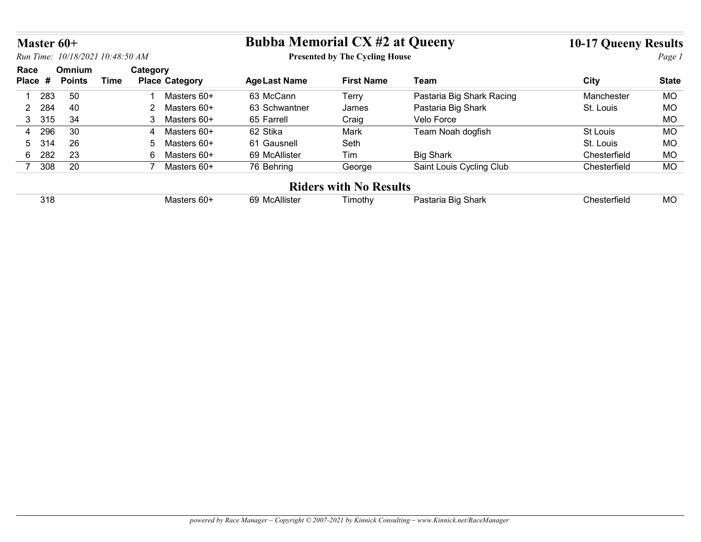|                                                                                                                                  |               |             |                                |                      |                               |                           | <b>10-17 Queeny Results</b> |              |
|----------------------------------------------------------------------------------------------------------------------------------|---------------|-------------|--------------------------------|----------------------|-------------------------------|---------------------------|-----------------------------|--------------|
| <b>Bubba Memorial CX #2 at Queeny</b><br>Master 60+<br>Run Time: 10/18/2021 10:48:50 AM<br><b>Presented by The Cycling House</b> |               |             |                                |                      |                               |                           | Page 1                      |              |
| Race                                                                                                                             | Omnium        |             | Category                       |                      |                               |                           |                             |              |
| Place #                                                                                                                          | <b>Points</b> | <b>Time</b> | <b>Place Category</b>          | <b>Age Last Name</b> | <b>First Name</b>             | <b>Team</b>               | <b>City</b>                 | <b>State</b> |
| 1 283                                                                                                                            | 50            |             | Masters 60+<br>-1              | 63 McCann            | Terry                         | Pastaria Big Shark Racing | Manchester                  | MO           |
| 284<br>$\overline{2}$                                                                                                            | 40            |             | 2 Masters 60+                  | 63 Schwantner        | James                         | Pastaria Big Shark        | St. Louis                   | MO           |
| 3 315                                                                                                                            | 34            |             | 3 Masters 60+                  | 65 Farrell           | Craig                         | Velo Force                |                             | MO           |
|                                                                                                                                  |               |             | Masters 60+<br>4               | 62 Stika             | Mark                          | Team Noah dogfish         | St Louis                    | MO           |
| 296<br>4                                                                                                                         | 30            |             |                                |                      |                               |                           |                             |              |
| 314<br>5                                                                                                                         | 26            |             | $5\overline{)}$<br>Masters 60+ | 61 Gausnell          | Seth                          |                           | St. Louis                   | <b>MO</b>    |
| 282<br>$6\overline{6}$                                                                                                           | 23            |             | 6 Masters 60+                  | 69 McAllister        | Tim                           | <b>Big Shark</b>          | Chesterfield                | MO           |
| 7 308                                                                                                                            | 20            |             | 7 Masters 60+                  | 76 Behring           | George                        | Saint Louis Cycling Club  | Chesterfield                | MO           |
|                                                                                                                                  |               |             |                                |                      | <b>Riders with No Results</b> |                           |                             |              |

| 3 I C | ^^<br>Masters 60+ | ^^<br>:Allıste'<br>nu<br>טועו<br>$\mathbf{u}$ | imothy | Shark<br>-Bia<br>tarıa<br>. . | `hesterfielo | MC |
|-------|-------------------|-----------------------------------------------|--------|-------------------------------|--------------|----|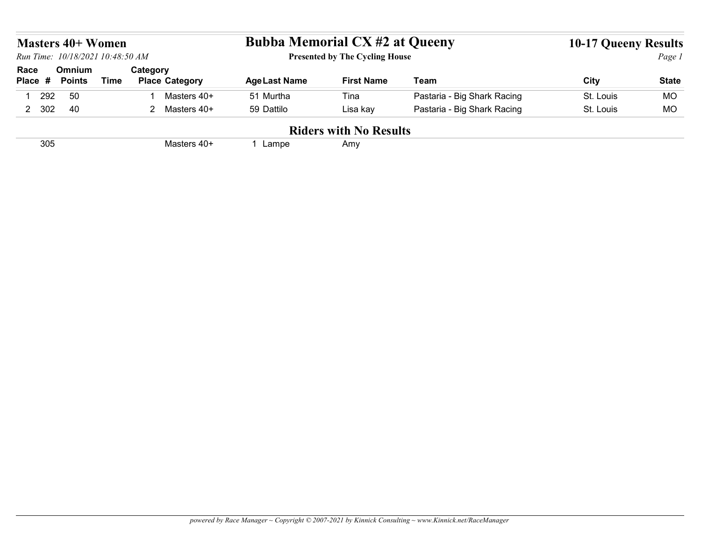|                        | <b>Masters 40+ Women</b>         |             |                                   |                                       |                                       |                             |                             |              |
|------------------------|----------------------------------|-------------|-----------------------------------|---------------------------------------|---------------------------------------|-----------------------------|-----------------------------|--------------|
|                        | Run Time: 10/18/2021 10:48:50 AM |             |                                   | <b>Bubba Memorial CX #2 at Queeny</b> | <b>Presented by The Cycling House</b> |                             | <b>10-17 Queeny Results</b> | Page 1       |
|                        | Omnium<br><b>Points</b>          | <b>Time</b> | Category<br><b>Place Category</b> | <b>AgeLast Name</b>                   | <b>First Name</b>                     | Team                        | City                        | <b>State</b> |
| Race<br>Place #<br>292 | 50                               |             | Masters 40+                       | 51 Murtha                             | Tina                                  | Pastaria - Big Shark Racing | St. Louis                   | <b>MO</b>    |
| 2 302                  | 40                               |             | 2 Masters 40+                     | 59 Dattilo                            | Lisa kay                              | Pastaria - Big Shark Racing | St. Louis                   | <b>MO</b>    |
|                        |                                  |             |                                   |                                       | <b>Riders with No Results</b>         |                             |                             |              |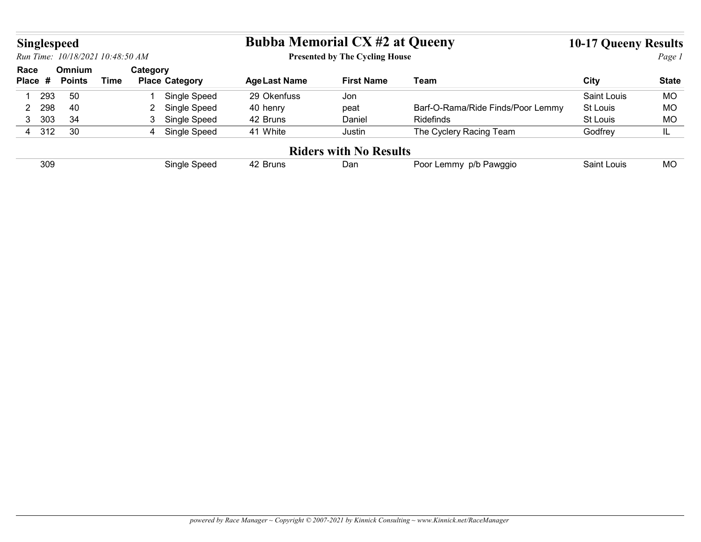| Singlespeed |     |                                  |             |                |                                | <b>Bubba Memorial CX #2 at Queeny</b> |                                       |                                   | <b>10-17 Queeny Results</b> |              |
|-------------|-----|----------------------------------|-------------|----------------|--------------------------------|---------------------------------------|---------------------------------------|-----------------------------------|-----------------------------|--------------|
|             |     | Run Time: 10/18/2021 10:48:50 AM |             |                |                                |                                       | <b>Presented by The Cycling House</b> |                                   |                             | Page 1       |
| Race        |     | Omnium<br><b>Points</b>          | <b>Time</b> | Category       | <b>Place Category</b>          | <b>AgeLast Name</b>                   | <b>First Name</b>                     | Team                              | City                        | <b>State</b> |
| Place #     |     | 50                               |             | - 1            | Single Speed                   | 29 Okenfuss                           | Jon                                   |                                   | Saint Louis                 | MO           |
| 1           | 293 |                                  |             |                |                                | 40 henry                              | peat                                  | Barf-O-Rama/Ride Finds/Poor Lemmy | St Louis                    | MO           |
| 2           | 298 | 40                               |             | $\overline{2}$ |                                |                                       |                                       |                                   |                             |              |
| 3 303       |     | 34                               |             |                | Single Speed<br>3 Single Speed | 42 Bruns                              | Daniel                                | Ridefinds                         | St Louis                    | MO           |
| 4 312       |     | 30                               |             |                | 4 Single Speed                 | 41 White                              | Justin                                | The Cyclery Racing Team           | Godfrey                     | IL           |
|             |     |                                  |             |                |                                |                                       | <b>Riders with No Results</b>         |                                   |                             |              |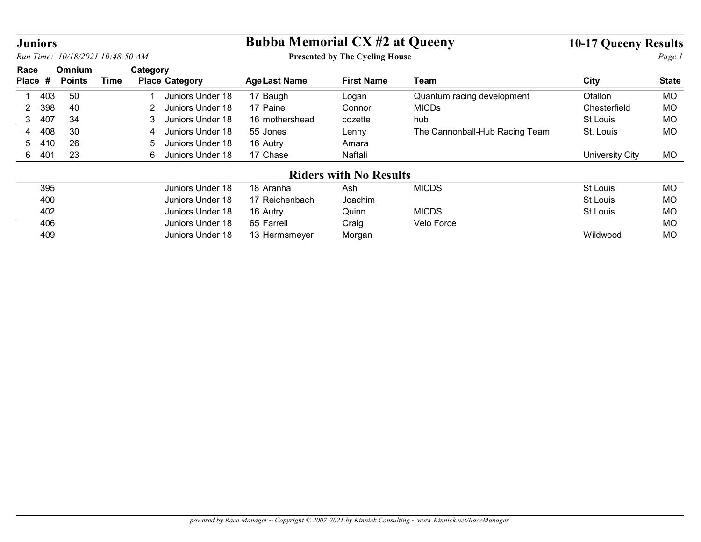| <b>Juniors</b>        |                                  |                                    | <b>Bubba Memorial CX #2 at Queeny</b> |                                       |                                | <b>10-17 Queeny Results</b> |              |
|-----------------------|----------------------------------|------------------------------------|---------------------------------------|---------------------------------------|--------------------------------|-----------------------------|--------------|
|                       | Run Time: 10/18/2021 10:48:50 AM |                                    |                                       | <b>Presented by The Cycling House</b> |                                |                             | Page 1       |
| Race                  | Omnium                           | Category                           |                                       |                                       |                                |                             |              |
| Place #               | <b>Time</b><br><b>Points</b>     | <b>Place Category</b>              | <b>AgeLast Name</b>                   | <b>First Name</b>                     | <b>Team</b>                    | City                        | <b>State</b> |
| 403                   | 50                               | Juniors Under 18                   | 17 Baugh                              | Logan                                 | Quantum racing development     | Ofallon                     | <b>MO</b>    |
| 398<br>$\overline{2}$ | 40                               | $\overline{2}$<br>Juniors Under 18 | 17 Paine                              | Connor                                | <b>MICDs</b>                   | Chesterfield                | <b>MO</b>    |
| 3 <sup>1</sup><br>407 | 34                               | Juniors Under 18<br>3              | 16 mothershead                        | cozette                               | hub                            | St Louis                    | MO           |
| 408<br>4              | 30                               | Juniors Under 18<br>4              | 55 Jones                              | Lenny                                 | The Cannonball-Hub Racing Team | St. Louis                   | <b>MO</b>    |
| 410<br>5              | 26                               | Juniors Under 18<br>5              | 16 Autry                              | Amara                                 |                                |                             |              |
| 401<br>6              | 23                               | 6 Juniors Under 18                 | 17 Chase                              | Naftali                               |                                | <b>University City</b>      | MO           |
|                       |                                  |                                    |                                       | <b>Riders with No Results</b>         |                                |                             |              |
| 395                   |                                  | Juniors Under 18                   | 18 Aranha                             | Ash                                   | <b>MICDS</b>                   | St Louis                    | <b>MO</b>    |
|                       |                                  | Juniors Under 18                   | 17 Reichenbach                        | Joachim                               |                                | St Louis                    | <b>MO</b>    |
| 400                   |                                  | Juniors Under 18                   | 16 Autry                              | Quinn                                 | <b>MICDS</b>                   | <b>St Louis</b>             | MO           |
| 402                   |                                  | Juniors Under 18                   | 65 Farrell                            | Craig                                 | Velo Force                     |                             | <b>MO</b>    |
| 406                   |                                  |                                    | 13 Hermsmeyer                         | Morgan                                |                                | Wildwood                    | <b>MO</b>    |
| 409                   |                                  | Juniors Under 18                   |                                       |                                       |                                |                             |              |
|                       |                                  |                                    |                                       |                                       |                                |                             |              |
|                       |                                  |                                    |                                       |                                       |                                |                             |              |
|                       |                                  |                                    |                                       |                                       |                                |                             |              |
|                       |                                  |                                    |                                       |                                       |                                |                             |              |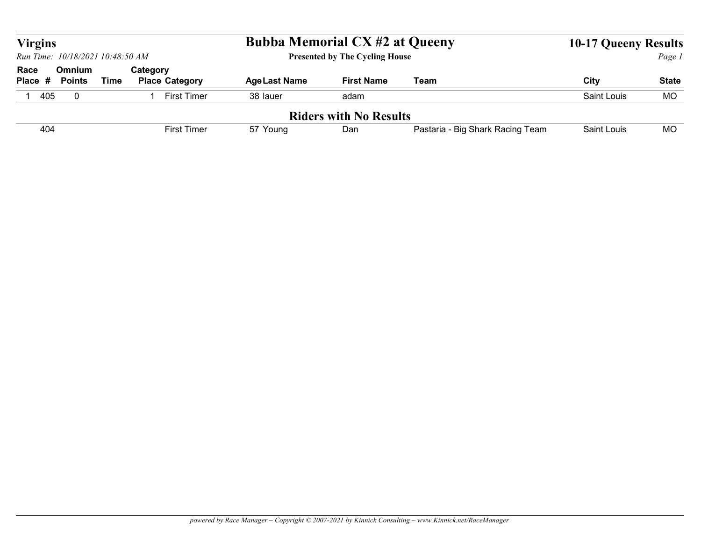|                                                                      |             |                       | <b>Bubba Memorial CX #2 at Queeny</b> |                                       |                                  | <b>10-17 Queeny Results</b> |              |
|----------------------------------------------------------------------|-------------|-----------------------|---------------------------------------|---------------------------------------|----------------------------------|-----------------------------|--------------|
| <b>Virgins</b><br>Run Time: 10/18/2021 10:48:50 AM<br>Race<br>Omnium |             | Category              |                                       | <b>Presented by The Cycling House</b> |                                  |                             | Page 1       |
| Place #<br><b>Points</b>                                             | <b>Time</b> | <b>Place Category</b> | <b>AgeLast Name</b>                   | <b>First Name</b>                     | Team                             | City                        | <b>State</b> |
| 405<br>$\overline{0}$                                                |             | 1 First Timer         | 38 lauer                              | adam                                  |                                  | Saint Louis                 | MO           |
|                                                                      |             |                       |                                       |                                       |                                  |                             |              |
| 404                                                                  |             | <b>First Timer</b>    | 57 Young                              | <b>Riders with No Results</b><br>Dan  | Pastaria - Big Shark Racing Team | Saint Louis                 | <b>MO</b>    |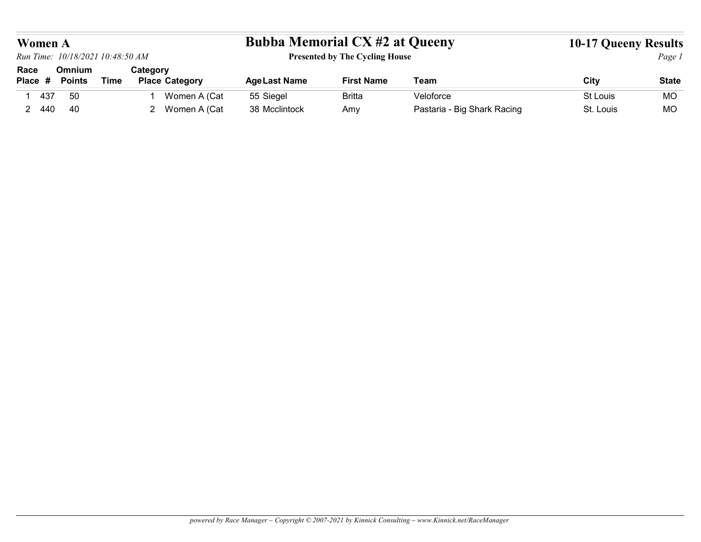| <b>Women A</b> | Run Time: 10/18/2021 10:48:50 AM |             |                                | <b>Bubba Memorial CX #2 at Queeny</b> |                                       |                                          | <b>10-17 Queeny Results</b> |                 |
|----------------|----------------------------------|-------------|--------------------------------|---------------------------------------|---------------------------------------|------------------------------------------|-----------------------------|-----------------|
| Race           | Omnium                           |             | Category                       |                                       | <b>Presented by The Cycling House</b> |                                          |                             | Page 1          |
| Place #        | <b>Points</b>                    | <b>Time</b> | <b>Place Category</b>          | <b>AgeLast Name</b>                   | <b>First Name</b>                     | <b>Team</b>                              | City                        | <b>State</b>    |
| 437            | 50<br>40                         |             | Women A (Cat<br>2 Women A (Cat | 55 Siegel                             | <b>Britta</b>                         | Veloforce<br>Pastaria - Big Shark Racing | St Louis                    | <b>MO</b><br>MO |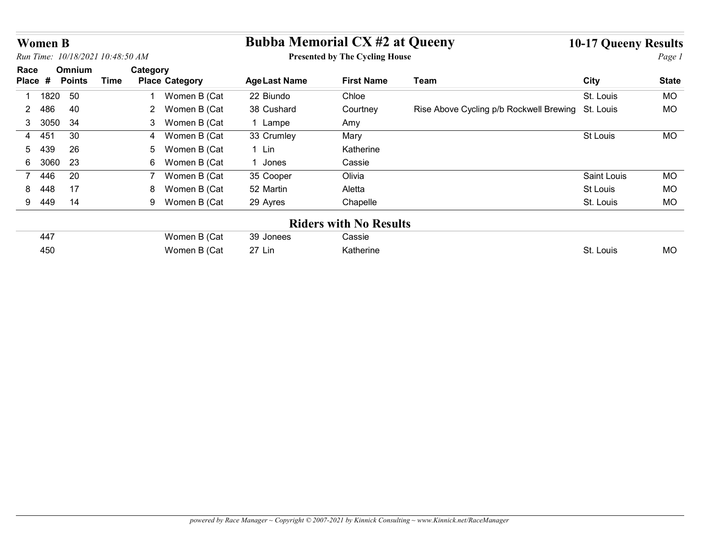| <b>Women B</b>      |                                        |                                   | <b>Bubba Memorial CX #2 at Queeny</b> |                                       |                                                   | <b>10-17 Queeny Results</b> |              |
|---------------------|----------------------------------------|-----------------------------------|---------------------------------------|---------------------------------------|---------------------------------------------------|-----------------------------|--------------|
|                     | Run Time: 10/18/2021 10:48:50 AM       |                                   |                                       | <b>Presented by The Cycling House</b> |                                                   |                             | Page 1       |
| Race<br>Place #     | Omnium<br><b>Time</b><br><b>Points</b> | Category<br><b>Place Category</b> | <b>Age Last Name</b>                  | <b>First Name</b>                     | Team                                              | City                        | <b>State</b> |
| 1820<br>-1          | 50                                     | Women B (Cat                      | 22 Biundo                             | Chloe                                 |                                                   | St. Louis                   | <b>MO</b>    |
| $\mathbf{2}$<br>486 | 40                                     | 2 Women B (Cat                    | 38 Cushard                            | Courtney                              | Rise Above Cycling p/b Rockwell Brewing St. Louis |                             | <b>MO</b>    |
| 3050<br>3           | 34                                     | 3 Women B (Cat                    | 1 Lampe                               | Amy                                   |                                                   |                             |              |
|                     | 30                                     | Women B (Cat<br>4                 | 33 Crumley                            | Mary                                  |                                                   | St Louis                    | <b>MO</b>    |
| 451<br>4            |                                        |                                   |                                       |                                       |                                                   |                             |              |
| 439<br>5            | 26                                     | Women B (Cat<br>5                 | 1 Lin                                 | Katherine                             |                                                   |                             |              |
| 3060<br>6           | 23                                     | 6 Women B (Cat                    | 1 Jones                               | Cassie                                |                                                   |                             |              |
| $7^{\circ}$<br>446  | 20                                     | Women B (Cat<br>$\overline{7}$    | 35 Cooper                             | Olivia                                |                                                   | <b>Saint Louis</b>          | <b>MO</b>    |
| 448<br>8            | 17                                     | Women B (Cat<br>8                 | 52 Martin                             | Aletta                                |                                                   | St Louis                    | MO           |
| 9<br>449            | 14                                     | 9 Women B (Cat                    | 29 Ayres                              | Chapelle                              |                                                   | St. Louis                   | <b>MO</b>    |
|                     |                                        |                                   |                                       | <b>Riders with No Results</b>         |                                                   |                             |              |
| 447                 |                                        | Women B (Cat                      | 39 Jonees                             | Cassie                                |                                                   |                             |              |
| 450                 |                                        | Women B (Cat                      | 27 Lin                                | Katherine                             |                                                   | St. Louis                   | <b>MO</b>    |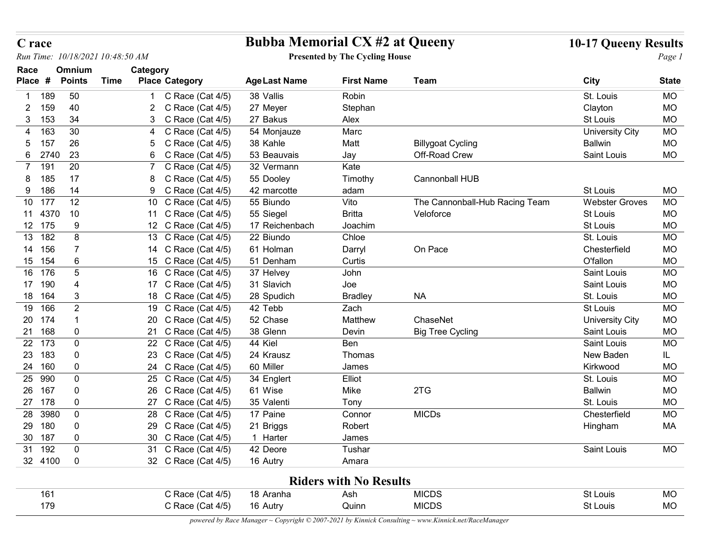| C race           |                         |                        |                                              | <b>Bubba Memorial CX #2 at Queeny</b> |                                       |                                | <b>10-17 Queeny Results</b> |                 |
|------------------|-------------------------|------------------------|----------------------------------------------|---------------------------------------|---------------------------------------|--------------------------------|-----------------------------|-----------------|
| Run Time:        |                         | 10/18/2021 10:48:50 AM |                                              |                                       | <b>Presented by The Cycling House</b> |                                |                             | Page 1          |
| Race<br>Place #  | Omnium<br><b>Points</b> | <b>Time</b>            | Category<br><b>Place Category</b>            | <b>AgeLast Name</b>                   | <b>First Name</b>                     | <b>Team</b>                    | <b>City</b>                 | <b>State</b>    |
| 189              | 50                      |                        | C Race (Cat 4/5)                             | 38 Vallis                             | Robin                                 |                                | St. Louis                   | MO              |
| 2                | 40<br>159               |                        | C Race (Cat 4/5)<br>$\overline{2}$           | 27 Meyer                              | Stephan                               |                                | Clayton                     | <b>MO</b>       |
| 153<br>3         | 34                      |                        | C Race (Cat 4/5)                             | 27 Bakus                              | Alex                                  |                                | St Louis                    | <b>MO</b>       |
| 163              | 30                      |                        | C Race (Cat 4/5)                             | 54 Monjauze                           | Marc                                  |                                | <b>University City</b>      | MO              |
| 157<br>5.        | 26                      |                        | Race (Cat 4/5)<br>C<br>5.                    | 38 Kahle                              | Matt                                  | <b>Billygoat Cycling</b>       | <b>Ballwin</b>              | <b>MO</b>       |
| 6                | 23<br>2740              |                        | $\mathbf C$<br>Race (Cat 4/5)<br>6           | 53 Beauvais                           | Jay                                   | Off-Road Crew                  | Saint Louis                 | <b>MO</b>       |
| 191<br>7         | 20                      |                        | C Race (Cat 4/5)                             | 32 Vermann                            | Kate                                  |                                |                             |                 |
| 185<br>186<br>9  | 17<br>14                |                        | C<br>Race (Cat 4/5)<br>C Race (Cat 4/5)<br>9 | 55 Dooley<br>42 marcotte              | Timothy<br>adam                       | Cannonball HUB                 | St Louis                    | MO              |
| 10 177           | 12                      |                        | 10 C Race (Cat 4/5)                          | 55 Biundo                             | Vito                                  | The Cannonball-Hub Racing Team | <b>Webster Groves</b>       | <b>MO</b>       |
| 11 4370          | 10                      |                        | Race (Cat 4/5)<br>11 C                       | 55 Siegel                             | <b>Britta</b>                         | Veloforce                      | St Louis                    | <b>MO</b>       |
| 12 175           | -9                      |                        | 12 C Race (Cat 4/5)                          | 17 Reichenbach                        | Joachim                               |                                | St Louis                    | <b>MO</b>       |
| 13 182           | 8                       |                        | 13 C Race (Cat 4/5)                          | 22 Biundo                             | Chloe                                 |                                | St. Louis                   | <b>MO</b>       |
| 14<br>156        |                         |                        | 14 C Race (Cat 4/5)                          | 61 Holman                             | Darryl                                | On Pace                        | Chesterfield                | MO              |
| 15 154           | $6\phantom{1}6$         |                        | 15 C Race (Cat 4/5)                          | 51 Denham                             | Curtis                                |                                | O'fallon                    | MO              |
| 16 176           | $\overline{5}$          |                        | 16 C Race (Cat 4/5)                          | 37 Helvey                             | John                                  |                                | Saint Louis                 | MO              |
| 17 190           | 4                       |                        | 17 C Race (Cat 4/5)                          | 31 Slavich                            | Joe                                   |                                | Saint Louis                 | MO              |
| 18 164           | 3                       |                        | 18 C Race (Cat 4/5)                          | 28 Spudich                            | <b>Bradley</b>                        | <b>NA</b>                      | St. Louis                   | MO              |
| 19 166           | $\overline{2}$          |                        | 19 C Race (Cat 4/5)                          | 42 Tebb                               | Zach                                  |                                | St Louis                    | MO              |
| 20 174           |                         |                        | 20 C Race (Cat 4/5)                          | 52 Chase                              | Matthew                               | ChaseNet                       | <b>University City</b>      | <b>MO</b>       |
| 21 168           | $\mathbf 0$             |                        | 21 C Race (Cat 4/5)                          | 38 Glenn                              | Devin                                 | <b>Big Tree Cycling</b>        | Saint Louis                 | <b>MO</b>       |
| 22 173           | $\mathbf 0$             |                        | 22 C Race (Cat 4/5)                          | 44 Kiel                               | Ben                                   |                                | Saint Louis                 | MO              |
| 23 183           | 0                       |                        | 23 C Race (Cat 4/5)                          | 24 Krausz                             | Thomas                                |                                | New Baden                   | IL.             |
| 24 160<br>25 990 | $\mathbf 0$<br>0        |                        | 24 C Race (Cat 4/5)<br>25 C Race (Cat 4/5)   | 60 Miller<br>34 Englert               | James<br>Elliot                       |                                | Kirkwood<br>St. Louis       | <b>MO</b><br>MO |
| 26 167           | 0                       |                        | 26 C Race (Cat 4/5)                          | 61 Wise                               | Mike                                  | 2TG                            | <b>Ballwin</b>              | <b>MO</b>       |
| 27 178           | $\mathbf 0$             |                        | 27 C Race (Cat 4/5)                          | 35 Valenti                            | Tony                                  |                                | St. Louis                   | MO              |
| 28 3980          | $\pmb{0}$               |                        | 28 C Race (Cat 4/5)                          | 17 Paine                              | Connor                                | <b>MICDs</b>                   | Chesterfield                | MO              |
| 29 180           | $\boldsymbol{0}$        |                        | 29 C Race (Cat 4/5)                          | 21 Briggs                             | Robert                                |                                | Hingham                     | МA              |
| 30 187           | $\mathbf 0$             |                        | 30 C Race (Cat 4/5)                          | 1 Harter                              | James                                 |                                |                             |                 |
| 31 192           | $\mathbf 0$             |                        | 31 C Race (Cat 4/5)                          | 42 Deore                              | Tushar                                |                                | Saint Louis                 | <b>MO</b>       |
| 32 4100          | $\mathbf 0$             |                        | 32 C Race (Cat 4/5)                          | 16 Autry                              | Amara                                 |                                |                             |                 |
|                  |                         |                        |                                              |                                       | <b>Riders with No Results</b>         |                                |                             |                 |
| 161              |                         |                        | C Race (Cat 4/5)                             | 18 Aranha                             | Ash                                   | <b>MICDS</b>                   | St Louis                    | MO              |
|                  | 179                     |                        | C Race (Cat 4/5)                             | 16 Autry                              | Quinn                                 | <b>MICDS</b>                   | St Louis                    | MO              |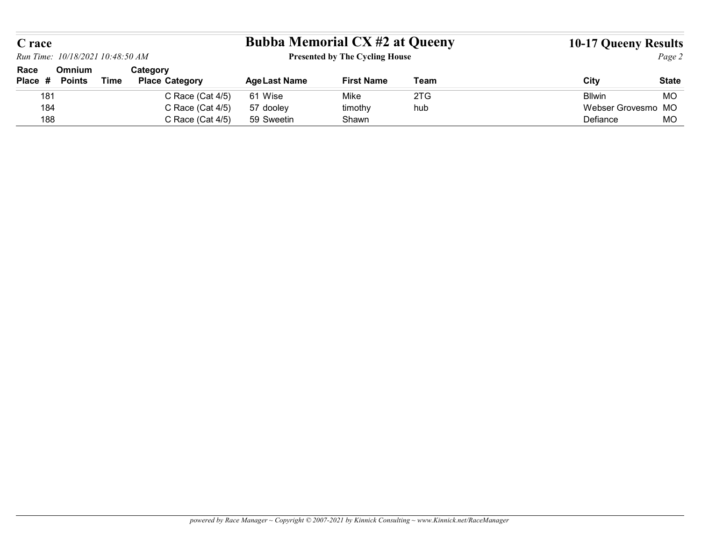| C race  |                                  |             |                       | <b>Bubba Memorial CX #2 at Queeny</b> |                                       |             | <b>10-17 Queeny Results</b> |                           |
|---------|----------------------------------|-------------|-----------------------|---------------------------------------|---------------------------------------|-------------|-----------------------------|---------------------------|
|         | Run Time: 10/18/2021 10:48:50 AM |             |                       |                                       | <b>Presented by The Cycling House</b> |             |                             | Page 2                    |
| Race    | Omnium                           |             | Category              |                                       |                                       |             |                             |                           |
| Place # | <b>Points</b>                    | <b>Time</b> | <b>Place Category</b> | <b>Age Last Name</b>                  | <b>First Name</b>                     | <b>Team</b> | City                        |                           |
| 181     |                                  |             | C Race (Cat 4/5)      | 61 Wise                               | Mike                                  | 2TG         | <b>Bllwin</b>               | <b>State</b><br><b>MO</b> |
| 184     |                                  |             | C Race (Cat 4/5)      | 57 dooley                             | timothy                               | hub         | Webser Grovesmo MO          |                           |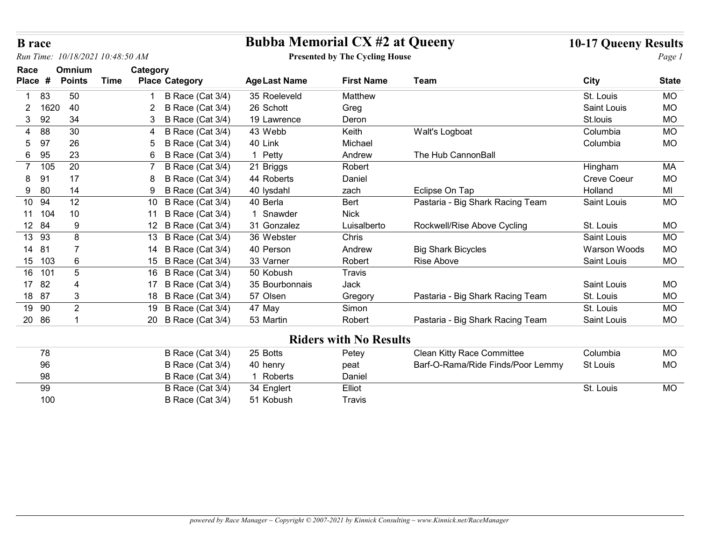| <b>B</b> race<br>10/18/2021 10:48:50 AM<br>Run Time: |                         |             |                                           |                     | <b>Bubba Memorial CX #2 at Queeny</b><br><b>Presented by The Cycling House</b> |                                   |              | <b>10-17 Queeny Results</b><br>Page 1 |
|------------------------------------------------------|-------------------------|-------------|-------------------------------------------|---------------------|--------------------------------------------------------------------------------|-----------------------------------|--------------|---------------------------------------|
| Race<br>Place #                                      | Omnium<br><b>Points</b> | <b>Time</b> | Category<br><b>Place Category</b>         | <b>AgeLast Name</b> | <b>First Name</b>                                                              | <b>Team</b>                       | City         | <b>State</b>                          |
| 83                                                   | 50                      |             |                                           | 35 Roeleveld        | Matthew                                                                        |                                   | St. Louis    | MO                                    |
| $\overline{2}$<br>1620                               | 40                      |             | B Race (Cat 3/4)<br>B Race (Cat 3/4)<br>2 | 26 Schott           | Greg                                                                           |                                   | Saint Louis  | <b>MO</b>                             |
| 92<br>3                                              | 34                      |             | B Race (Cat 3/4)                          | 19 Lawrence         | Deron                                                                          |                                   | St.louis     | <b>MO</b>                             |
| 88                                                   | 30                      |             | B Race (Cat 3/4)                          | 43 Webb             | Keith                                                                          | Walt's Logboat                    | Columbia     | <b>MO</b>                             |
| 97<br>5                                              | 26                      |             | B Race (Cat 3/4)                          | 40 Link             | Michael                                                                        |                                   | Columbia     | <b>MO</b>                             |
| 95<br>6                                              | 23                      |             | B Race (Cat 3/4)<br>6                     | 1 Petty             | Andrew                                                                         | The Hub CannonBall                |              |                                       |
| 105<br>$\overline{7}$                                | 20                      |             | B Race (Cat 3/4)                          | 21 Briggs           | Robert                                                                         |                                   | Hingham      | MA                                    |
| 91<br>8                                              | 17                      |             | B Race (Cat 3/4)                          | 44 Roberts          | Daniel                                                                         |                                   | Creve Coeur  | <b>MO</b>                             |
| 80<br>9                                              | 14                      |             | B Race (Cat 3/4)<br>-9                    | 40 lysdahl          | zach                                                                           | Eclipse On Tap                    | Holland      | MI                                    |
| 10 94                                                | 12                      |             | 10 B Race (Cat 3/4)                       | 40 Berla            | <b>Bert</b>                                                                    | Pastaria - Big Shark Racing Team  | Saint Louis  | MO                                    |
| 11 104                                               | 10                      |             | B Race (Cat 3/4)<br>11                    | 1 Snawder           | <b>Nick</b>                                                                    |                                   |              |                                       |
| 12 84                                                | 9                       |             | 12 B Race (Cat 3/4)                       | 31 Gonzalez         | Luisalberto                                                                    | Rockwell/Rise Above Cycling       | St. Louis    | MO                                    |
| 13 93                                                | 8                       |             | 13 B Race (Cat 3/4)                       | 36 Webster          | Chris                                                                          |                                   | Saint Louis  | <b>MO</b>                             |
| 14 81                                                |                         |             | 14 B Race (Cat 3/4)                       | 40 Person           | Andrew                                                                         | <b>Big Shark Bicycles</b>         | Warson Woods | MO                                    |
| 15 103                                               | 6                       |             | 15 B Race (Cat 3/4)                       | 33 Varner           | Robert                                                                         | Rise Above                        | Saint Louis  | MO                                    |
| 16 101                                               | 5                       |             | 16 B Race (Cat 3/4)                       | 50 Kobush           | Travis                                                                         |                                   |              |                                       |
| 17 82                                                |                         |             | 17 B Race (Cat 3/4)                       | 35 Bourbonnais      | Jack                                                                           |                                   | Saint Louis  | MO                                    |
| 18 87                                                | 3                       |             | 18 B Race (Cat 3/4)                       | 57 Olsen            | Gregory                                                                        | Pastaria - Big Shark Racing Team  | St. Louis    | MO                                    |
| 19 90                                                | $\overline{2}$          |             | 19 B Race (Cat 3/4)                       | 47 May              | Simon                                                                          |                                   | St. Louis    | MO                                    |
| 20 86                                                |                         |             | 20 B Race (Cat 3/4)                       | 53 Martin           | Robert                                                                         | Pastaria - Big Shark Racing Team  | Saint Louis  | MO                                    |
|                                                      |                         |             |                                           |                     |                                                                                |                                   |              |                                       |
|                                                      |                         |             |                                           |                     | <b>Riders with No Results</b>                                                  |                                   |              |                                       |
| 78                                                   |                         |             | B Race (Cat 3/4)                          | 25 Botts            | Petey                                                                          | Clean Kitty Race Committee        | Columbia     | MO                                    |
| 96                                                   |                         |             | B Race (Cat 3/4)                          | 40 henry            | peat                                                                           | Barf-O-Rama/Ride Finds/Poor Lemmy | St Louis     | MO                                    |
| 98                                                   |                         |             | B Race (Cat 3/4)                          | 1 Roberts           | Daniel                                                                         |                                   |              |                                       |
| 99                                                   |                         |             | B Race (Cat 3/4)                          | 34 Englert          | Elliot                                                                         |                                   | St. Louis    | <b>MO</b>                             |
| 100                                                  |                         |             | B Race (Cat 3/4)                          | 51 Kobush           | Travis                                                                         |                                   |              |                                       |